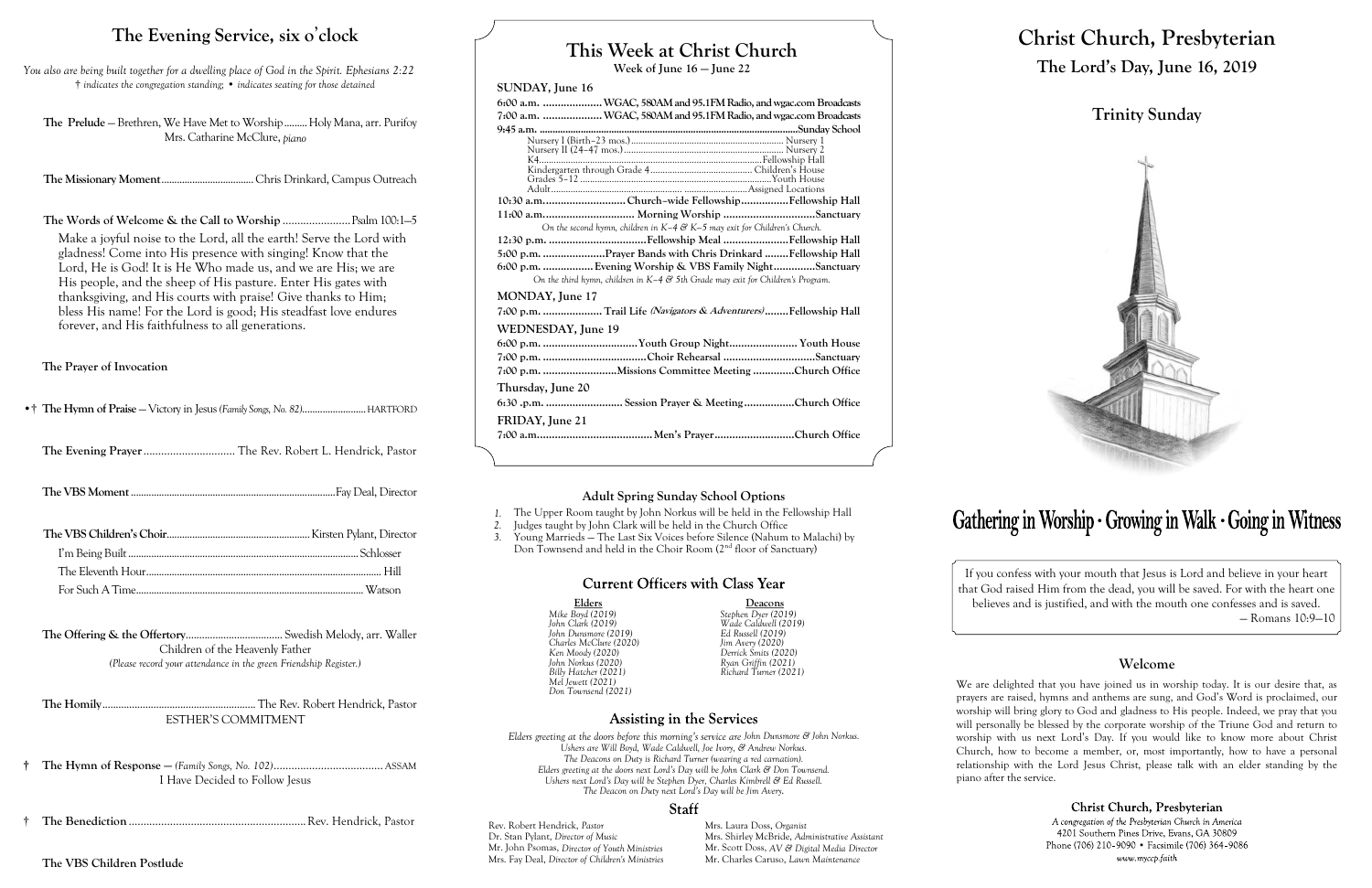## **This Week at Christ Church**

**Week of June 16 — June 22**

### **SUNDAY, June 16**

|                    | 6:00 a.m.  WGAC, 580AM and 95.1FM Radio, and wgac.com Broadcasts                  |
|--------------------|-----------------------------------------------------------------------------------|
|                    | 7:00 a.m.  WGAC, 580AM and 95.1FM Radio, and wgac.com Broadcasts                  |
|                    |                                                                                   |
|                    |                                                                                   |
|                    |                                                                                   |
|                    |                                                                                   |
|                    |                                                                                   |
|                    |                                                                                   |
|                    | 10:30 a.mChurch-wide FellowshipFellowship Hall                                    |
|                    | 11:00 a.m Morning Worship Sanctuary                                               |
|                    | On the second hymn, children in $K-4$ & $K-5$ may exit for Children's Church.     |
|                    |                                                                                   |
|                    | 5:00 p.m. Prayer Bands with Chris Drinkard Fellowship Hall                        |
|                    | 6:00 p.m.  Evening Worship & VBS Family NightSanctuary                            |
|                    | On the third hymn, children in $K-4$ & 5th Grade may exit for Children's Program. |
| MONDAY, June 17    |                                                                                   |
|                    | 7:00 p.m. Trail Life (Navigators & Adventurers)Fellowship Hall                    |
| WEDNESDAY, June 19 |                                                                                   |
|                    |                                                                                   |
|                    |                                                                                   |
|                    | 7:00 p.m. Missions Committee Meeting Church Office                                |
|                    |                                                                                   |
| Thursday, June 20  |                                                                                   |
|                    | 6:30 .p.m. Session Prayer & Meeting Church Office                                 |
| FRIDAY, June 21    |                                                                                   |
|                    |                                                                                   |
|                    |                                                                                   |

**Deacons** *Mike Boyd (2019) Stephen Dyer (2019) John Clark (2019) Wade Caldwell (2019) John Dunsmore (2019) Ed Russell (2019) Charles McClure (2020) Jim Avery (2020) Ken Moody (2020) Derrick Smits (2020) John Norkus (2020) Ryan Griffin (2021) Billy Hatcher (2021) Richard Turner (2021)*

## Assisting in the Services

The Prelude – Brethren, We Have Met to Worship......... Holy Mana, arr. Purifoy Mrs. Catharine McClure, *piano*

| Elders                 |  |
|------------------------|--|
| Mike Boyd (2019)       |  |
| John Clark (2019)      |  |
| John Dunsmore (2019)   |  |
| Charles McClure (2020) |  |
| Ken Moody (2020)       |  |
| John Norkus (2020)     |  |
| Billy Hatcher (2021)   |  |
| Mel Jewett (2021)      |  |
| Don Townsend (2021)    |  |

*Elders greeting at the doors before this morning's service are John Dunsmore & John Norkus. Ushers are Will Boyd, Wade Caldwell, Joe Ivory, & Andrew Norkus. The Deacons on Duty is Richard Turner (wearing a red carnation). Elders greeting at the doors next Lord's Day will be John Clark & Don Townsend. Ushers next Lord's Day will be Stephen Dyer, Charles Kimbrell & Ed Russell. The Deacon on Duty next Lord's Day will be Jim Avery.*

## **Staff**

Rev. Robert Hendrick, *Pastor* Mrs. Laura Doss, *Organist*<br>Dr. Stan Pylant, *Director of Music* Mrs. Shirley McBride, *Adm* Mr. John Psomas, *Director of Youth Ministries*<br>Mrs. Fay Deal, *Director of Children's Ministries* 

Mrs. Shirley McBride, *Administrative Assistant* Mr. Scott Doss, *AV & Digital Media Director* Mr. Charles Caruso, *Lawn Maintenance* 

# Gathering in Worship · Growing in Walk · Going in Witness

- *1.* The Upper Room taught by John Norkus will be held in the Fellowship Hall
- *2.* Judges taught by John Clark will be held in the Church Office
- *3.* Young Marrieds The Last Six Voices before Silence (Nahum to Malachi) by Don Townsend and held in the Choir Room  $(2<sup>nd</sup>$  floor of Sanctuary)

## **Current Officers with Class Year**

## **Christ Church, Presbyterian The Lord's Day, June 16, 2019**

**Trinity Sunday**



If you confess with your mouth that Jesus is Lord and believe in your heart that God raised Him from the dead, you will be saved. For with the heart one believes and is justified, and with the mouth one confesses and is saved. — Romans 10:9—10

### **Welcome**

Christ Church, Presbyterian A congregation of the Presbyterian Church in America 4201 Southern Pines Drive, Evans, GA 30809 Phone (706) 210-9090 • Facsimile (706) 364-9086 www.myccp.faith

We are delighted that you have joined us in worship today. It is our desire that, as prayers are raised, hymns and anthems are sung, and God's Word is proclaimed, our worship will bring glory to God and gladness to His people. Indeed, we pray that you will personally be blessed by the corporate worship of the Triune God and return to worship with us next Lord's Day. If you would like to know more about Christ Church, how to become a member, or, most importantly, how to have a personal relationship with the Lord Jesus Christ, please talk with an elder standing by the piano after the service.

## **The Evening Service, six o**'**clock**

*You also are being built together for a dwelling place of God in the Spirit. Ephesians 2:22* † *indicates the congregation standing;* • *indicates seating for those detained*

**The Missionary Moment**....................................Chris Drinkard, Campus Outreach

**The Words of Welcome & the Call to Worship** .......................Psalm 100:1—5

Make a joyful noise to the Lord, all the earth! Serve the Lord with gladness! Come into His presence with singing! Know that the Lord, He is God! It is He Who made us, and we are His; we are His people, and the sheep of His pasture. Enter His gates with thanksgiving, and His courts with praise! Give thanks to Him; bless His name! For the Lord is good; His steadfast love endures forever, and His faithfulness to all generations.

**The Prayer of Invocation**

•† **The Hymn of Praise** — Victory in Jesus *(Family Songs, No. 82)*.........................HARTFORD

**The Evening Prayer**............................... The Rev. Robert L. Hendrick, Pastor

**The VBS Moment**................................................................................Fay Deal, Director

**The Offering & the Offertory**.................................... Swedish Melody, arr. Waller Children of the Heavenly Father *(Please record your attendance in the green Friendship Register.)*

**The Homily**......................................................... The Rev. Robert Hendrick, Pastor ESTHER'S COMMITMENT

**† The Hymn of Response —** *(Family Songs, No. 102)*..................................... ASSAM I Have Decided to Follow Jesus

† **The Benediction** ............................................................Rev. Hendrick, Pastor

**The VBS Children Postlude**

### **Adult Spring Sunday School Options**